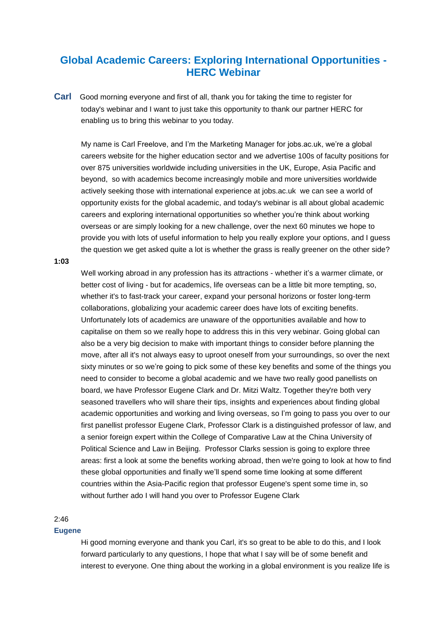# **Global Academic Careers: Exploring International Opportunities - HERC Webinar**

**Carl** Good morning everyone and first of all, thank you for taking the time to register for today's webinar and I want to just take this opportunity to thank our partner HERC for enabling us to bring this webinar to you today.

My name is Carl Freelove, and I'm the Marketing Manager for jobs.ac.uk, we're a global careers website for the higher education sector and we advertise 100s of faculty positions for over 875 universities worldwide including universities in the UK, Europe, Asia Pacific and beyond, so with academics become increasingly mobile and more universities worldwide actively seeking those with international experience at jobs.ac.uk we can see a world of opportunity exists for the global academic, and today's webinar is all about global academic careers and exploring international opportunities so whether you're think about working overseas or are simply looking for a new challenge, over the next 60 minutes we hope to provide you with lots of useful information to help you really explore your options, and I guess the question we get asked quite a lot is whether the grass is really greener on the other side?

#### **1:03**

Well working abroad in any profession has its attractions - whether it's a warmer climate, or better cost of living - but for academics, life overseas can be a little bit more tempting, so, whether it's to fast-track your career, expand your personal horizons or foster long-term collaborations, globalizing your academic career does have lots of exciting benefits. Unfortunately lots of academics are unaware of the opportunities available and how to capitalise on them so we really hope to address this in this very webinar. Going global can also be a very big decision to make with important things to consider before planning the move, after all it's not always easy to uproot oneself from your surroundings, so over the next sixty minutes or so we're going to pick some of these key benefits and some of the things you need to consider to become a global academic and we have two really good panellists on board, we have Professor Eugene Clark and Dr. Mitzi Waltz. Together they're both very seasoned travellers who will share their tips, insights and experiences about finding global academic opportunities and working and living overseas, so I'm going to pass you over to our first panellist professor Eugene Clark, Professor Clark is a distinguished professor of law, and a senior foreign expert within the College of Comparative Law at the China University of Political Science and Law in Beijing. Professor Clarks session is going to explore three areas: first a look at some the benefits working abroad, then we're going to look at how to find these global opportunities and finally we'll spend some time looking at some different countries within the Asia-Pacific region that professor Eugene's spent some time in, so without further ado I will hand you over to Professor Eugene Clark

### 2:46

#### **Eugene**

Hi good morning everyone and thank you Carl, it's so great to be able to do this, and I look forward particularly to any questions, I hope that what I say will be of some benefit and interest to everyone. One thing about the working in a global environment is you realize life is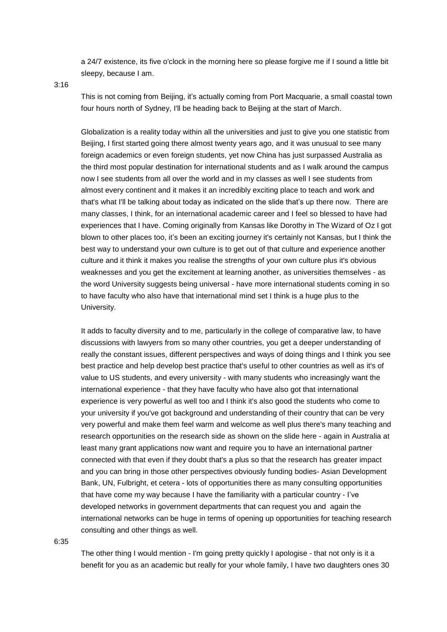a 24/7 existence, its five o'clock in the morning here so please forgive me if I sound a little bit sleepy, because I am.

3:16

This is not coming from Beijing, it's actually coming from Port Macquarie, a small coastal town four hours north of Sydney, I'll be heading back to Beijing at the start of March.

Globalization is a reality today within all the universities and just to give you one statistic from Beijing, I first started going there almost twenty years ago, and it was unusual to see many foreign academics or even foreign students, yet now China has just surpassed Australia as the third most popular destination for international students and as I walk around the campus now I see students from all over the world and in my classes as well I see students from almost every continent and it makes it an incredibly exciting place to teach and work and that's what I'll be talking about today as indicated on the slide that's up there now. There are many classes, I think, for an international academic career and I feel so blessed to have had experiences that I have. Coming originally from Kansas like Dorothy in The Wizard of Oz I got blown to other places too, it's been an exciting journey it's certainly not Kansas, but I think the best way to understand your own culture is to get out of that culture and experience another culture and it think it makes you realise the strengths of your own culture plus it's obvious weaknesses and you get the excitement at learning another, as universities themselves - as the word University suggests being universal - have more international students coming in so to have faculty who also have that international mind set I think is a huge plus to the University.

It adds to faculty diversity and to me, particularly in the college of comparative law, to have discussions with lawyers from so many other countries, you get a deeper understanding of really the constant issues, different perspectives and ways of doing things and I think you see best practice and help develop best practice that's useful to other countries as well as it's of value to US students, and every university - with many students who increasingly want the international experience - that they have faculty who have also got that international experience is very powerful as well too and I think it's also good the students who come to your university if you've got background and understanding of their country that can be very very powerful and make them feel warm and welcome as well plus there's many teaching and research opportunities on the research side as shown on the slide here - again in Australia at least many grant applications now want and require you to have an international partner connected with that even if they doubt that's a plus so that the research has greater impact and you can bring in those other perspectives obviously funding bodies- Asian Development Bank, UN, Fulbright, et cetera - lots of opportunities there as many consulting opportunities that have come my way because I have the familiarity with a particular country - I've developed networks in government departments that can request you and again the international networks can be huge in terms of opening up opportunities for teaching research consulting and other things as well.

6:35

The other thing I would mention - I'm going pretty quickly I apologise - that not only is it a benefit for you as an academic but really for your whole family, I have two daughters ones 30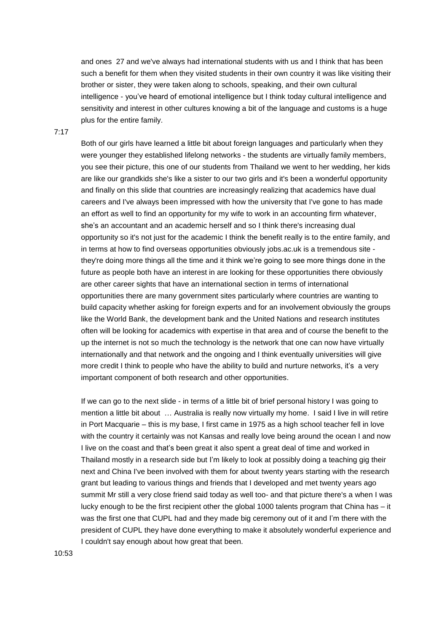and ones 27 and we've always had international students with us and I think that has been such a benefit for them when they visited students in their own country it was like visiting their brother or sister, they were taken along to schools, speaking, and their own cultural intelligence - you've heard of emotional intelligence but I think today cultural intelligence and sensitivity and interest in other cultures knowing a bit of the language and customs is a huge plus for the entire family.

#### 7:17

Both of our girls have learned a little bit about foreign languages and particularly when they were younger they established lifelong networks - the students are virtually family members, you see their picture, this one of our students from Thailand we went to her wedding, her kids are like our grandkids she's like a sister to our two girls and it's been a wonderful opportunity and finally on this slide that countries are increasingly realizing that academics have dual careers and I've always been impressed with how the university that I've gone to has made an effort as well to find an opportunity for my wife to work in an accounting firm whatever, she's an accountant and an academic herself and so I think there's increasing dual opportunity so it's not just for the academic I think the benefit really is to the entire family, and in terms at how to find overseas opportunities obviously jobs.ac.uk is a tremendous site they're doing more things all the time and it think we're going to see more things done in the future as people both have an interest in are looking for these opportunities there obviously are other career sights that have an international section in terms of international opportunities there are many government sites particularly where countries are wanting to build capacity whether asking for foreign experts and for an involvement obviously the groups like the World Bank, the development bank and the United Nations and research institutes often will be looking for academics with expertise in that area and of course the benefit to the up the internet is not so much the technology is the network that one can now have virtually internationally and that network and the ongoing and I think eventually universities will give more credit I think to people who have the ability to build and nurture networks, it's a very important component of both research and other opportunities.

If we can go to the next slide - in terms of a little bit of brief personal history I was going to mention a little bit about … Australia is really now virtually my home. I said I live in will retire in Port Macquarie – this is my base, I first came in 1975 as a high school teacher fell in love with the country it certainly was not Kansas and really love being around the ocean I and now I live on the coast and that's been great it also spent a great deal of time and worked in Thailand mostly in a research side but I'm likely to look at possibly doing a teaching gig their next and China I've been involved with them for about twenty years starting with the research grant but leading to various things and friends that I developed and met twenty years ago summit Mr still a very close friend said today as well too- and that picture there's a when I was lucky enough to be the first recipient other the global 1000 talents program that China has – it was the first one that CUPL had and they made big ceremony out of it and I'm there with the president of CUPL they have done everything to make it absolutely wonderful experience and I couldn't say enough about how great that been.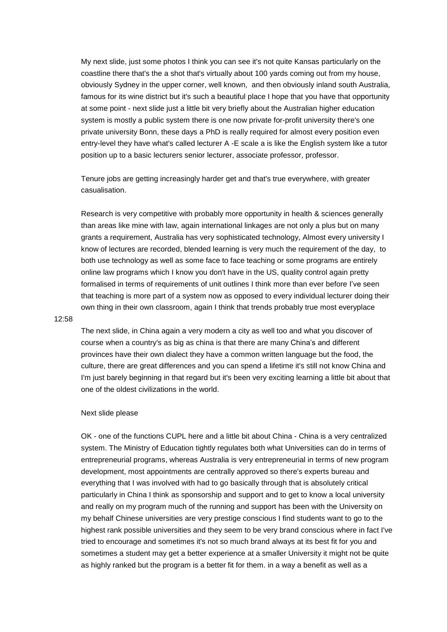My next slide, just some photos I think you can see it's not quite Kansas particularly on the coastline there that's the a shot that's virtually about 100 yards coming out from my house, obviously Sydney in the upper corner, well known, and then obviously inland south Australia, famous for its wine district but it's such a beautiful place I hope that you have that opportunity at some point - next slide just a little bit very briefly about the Australian higher education system is mostly a public system there is one now private for-profit university there's one private university Bonn, these days a PhD is really required for almost every position even entry-level they have what's called lecturer A -E scale a is like the English system like a tutor position up to a basic lecturers senior lecturer, associate professor, professor.

Tenure jobs are getting increasingly harder get and that's true everywhere, with greater casualisation.

Research is very competitive with probably more opportunity in health & sciences generally than areas like mine with law, again international linkages are not only a plus but on many grants a requirement, Australia has very sophisticated technology, Almost every university I know of lectures are recorded, blended learning is very much the requirement of the day, to both use technology as well as some face to face teaching or some programs are entirely online law programs which I know you don't have in the US, quality control again pretty formalised in terms of requirements of unit outlines I think more than ever before I've seen that teaching is more part of a system now as opposed to every individual lecturer doing their own thing in their own classroom, again I think that trends probably true most everyplace

#### 12:58

The next slide, in China again a very modern a city as well too and what you discover of course when a country's as big as china is that there are many China's and different provinces have their own dialect they have a common written language but the food, the culture, there are great differences and you can spend a lifetime it's still not know China and I'm just barely beginning in that regard but it's been very exciting learning a little bit about that one of the oldest civilizations in the world.

#### Next slide please

OK - one of the functions CUPL here and a little bit about China - China is a very centralized system. The Ministry of Education tightly regulates both what Universities can do in terms of entrepreneurial programs, whereas Australia is very entrepreneurial in terms of new program development, most appointments are centrally approved so there's experts bureau and everything that I was involved with had to go basically through that is absolutely critical particularly in China I think as sponsorship and support and to get to know a local university and really on my program much of the running and support has been with the University on my behalf Chinese universities are very prestige conscious I find students want to go to the highest rank possible universities and they seem to be very brand conscious where in fact I've tried to encourage and sometimes it's not so much brand always at its best fit for you and sometimes a student may get a better experience at a smaller University it might not be quite as highly ranked but the program is a better fit for them. in a way a benefit as well as a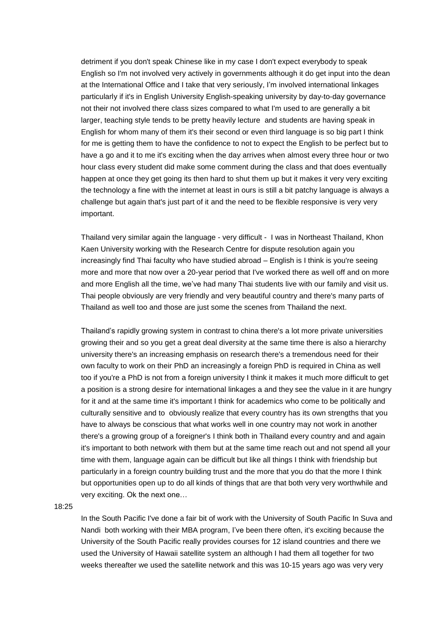detriment if you don't speak Chinese like in my case I don't expect everybody to speak English so I'm not involved very actively in governments although it do get input into the dean at the International Office and I take that very seriously, I'm involved international linkages particularly if it's in English University English-speaking university by day-to-day governance not their not involved there class sizes compared to what I'm used to are generally a bit larger, teaching style tends to be pretty heavily lecture and students are having speak in English for whom many of them it's their second or even third language is so big part I think for me is getting them to have the confidence to not to expect the English to be perfect but to have a go and it to me it's exciting when the day arrives when almost every three hour or two hour class every student did make some comment during the class and that does eventually happen at once they get going its then hard to shut them up but it makes it very very exciting the technology a fine with the internet at least in ours is still a bit patchy language is always a challenge but again that's just part of it and the need to be flexible responsive is very very important.

Thailand very similar again the language - very difficult - I was in Northeast Thailand, Khon Kaen University working with the Research Centre for dispute resolution again you increasingly find Thai faculty who have studied abroad – English is I think is you're seeing more and more that now over a 20-year period that I've worked there as well off and on more and more English all the time, we've had many Thai students live with our family and visit us. Thai people obviously are very friendly and very beautiful country and there's many parts of Thailand as well too and those are just some the scenes from Thailand the next.

Thailand's rapidly growing system in contrast to china there's a lot more private universities growing their and so you get a great deal diversity at the same time there is also a hierarchy university there's an increasing emphasis on research there's a tremendous need for their own faculty to work on their PhD an increasingly a foreign PhD is required in China as well too if you're a PhD is not from a foreign university I think it makes it much more difficult to get a position is a strong desire for international linkages a and they see the value in it are hungry for it and at the same time it's important I think for academics who come to be politically and culturally sensitive and to obviously realize that every country has its own strengths that you have to always be conscious that what works well in one country may not work in another there's a growing group of a foreigner's I think both in Thailand every country and and again it's important to both network with them but at the same time reach out and not spend all your time with them, language again can be difficult but like all things I think with friendship but particularly in a foreign country building trust and the more that you do that the more I think but opportunities open up to do all kinds of things that are that both very very worthwhile and very exciting. Ok the next one…

18:25

In the South Pacific I've done a fair bit of work with the University of South Pacific In Suva and Nandi both working with their MBA program, I've been there often, it's exciting because the University of the South Pacific really provides courses for 12 island countries and there we used the University of Hawaii satellite system an although I had them all together for two weeks thereafter we used the satellite network and this was 10-15 years ago was very very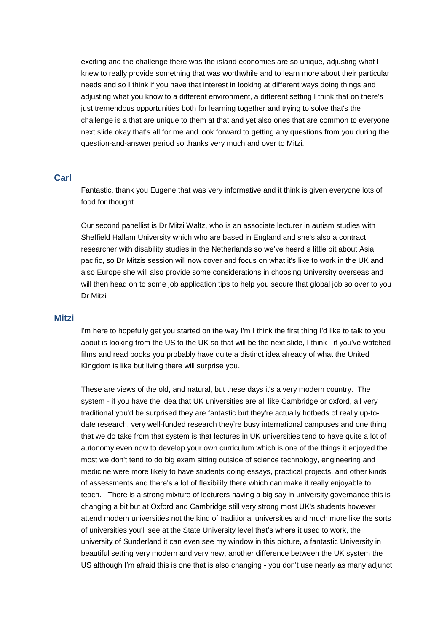exciting and the challenge there was the island economies are so unique, adjusting what I knew to really provide something that was worthwhile and to learn more about their particular needs and so I think if you have that interest in looking at different ways doing things and adjusting what you know to a different environment, a different setting I think that on there's just tremendous opportunities both for learning together and trying to solve that's the challenge is a that are unique to them at that and yet also ones that are common to everyone next slide okay that's all for me and look forward to getting any questions from you during the question-and-answer period so thanks very much and over to Mitzi.

## **Carl**

Fantastic, thank you Eugene that was very informative and it think is given everyone lots of food for thought.

Our second panellist is Dr Mitzi Waltz, who is an associate lecturer in autism studies with Sheffield Hallam University which who are based in England and she's also a contract researcher with disability studies in the Netherlands so we've heard a little bit about Asia pacific, so Dr Mitzis session will now cover and focus on what it's like to work in the UK and also Europe she will also provide some considerations in choosing University overseas and will then head on to some job application tips to help you secure that global job so over to you Dr Mitzi

### **Mitzi**

I'm here to hopefully get you started on the way I'm I think the first thing I'd like to talk to you about is looking from the US to the UK so that will be the next slide, I think - if you've watched films and read books you probably have quite a distinct idea already of what the United Kingdom is like but living there will surprise you.

These are views of the old, and natural, but these days it's a very modern country. The system - if you have the idea that UK universities are all like Cambridge or oxford, all very traditional you'd be surprised they are fantastic but they're actually hotbeds of really up-todate research, very well-funded research they're busy international campuses and one thing that we do take from that system is that lectures in UK universities tend to have quite a lot of autonomy even now to develop your own curriculum which is one of the things it enjoyed the most we don't tend to do big exam sitting outside of science technology, engineering and medicine were more likely to have students doing essays, practical projects, and other kinds of assessments and there's a lot of flexibility there which can make it really enjoyable to teach. There is a strong mixture of lecturers having a big say in university governance this is changing a bit but at Oxford and Cambridge still very strong most UK's students however attend modern universities not the kind of traditional universities and much more like the sorts of universities you'll see at the State University level that's where it used to work, the university of Sunderland it can even see my window in this picture, a fantastic University in beautiful setting very modern and very new, another difference between the UK system the US although I'm afraid this is one that is also changing - you don't use nearly as many adjunct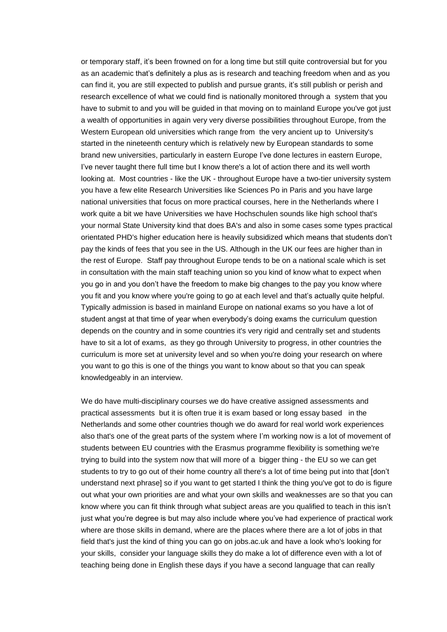or temporary staff, it's been frowned on for a long time but still quite controversial but for you as an academic that's definitely a plus as is research and teaching freedom when and as you can find it, you are still expected to publish and pursue grants, it's still publish or perish and research excellence of what we could find is nationally monitored through a system that you have to submit to and you will be guided in that moving on to mainland Europe you've got just a wealth of opportunities in again very very diverse possibilities throughout Europe, from the Western European old universities which range from the very ancient up to University's started in the nineteenth century which is relatively new by European standards to some brand new universities, particularly in eastern Europe I've done lectures in eastern Europe, I've never taught there full time but I know there's a lot of action there and its well worth looking at. Most countries - like the UK - throughout Europe have a two-tier university system you have a few elite Research Universities like Sciences Po in Paris and you have large national universities that focus on more practical courses, here in the Netherlands where I work quite a bit we have Universities we have Hochschulen sounds like high school that's your normal State University kind that does BA's and also in some cases some types practical orientated PHD's higher education here is heavily subsidized which means that students don't pay the kinds of fees that you see in the US. Although in the UK our fees are higher than in the rest of Europe. Staff pay throughout Europe tends to be on a national scale which is set in consultation with the main staff teaching union so you kind of know what to expect when you go in and you don't have the freedom to make big changes to the pay you know where you fit and you know where you're going to go at each level and that's actually quite helpful. Typically admission is based in mainland Europe on national exams so you have a lot of student angst at that time of year when everybody's doing exams the curriculum question depends on the country and in some countries it's very rigid and centrally set and students have to sit a lot of exams, as they go through University to progress, in other countries the curriculum is more set at university level and so when you're doing your research on where you want to go this is one of the things you want to know about so that you can speak knowledgeably in an interview.

We do have multi-disciplinary courses we do have creative assigned assessments and practical assessments but it is often true it is exam based or long essay based in the Netherlands and some other countries though we do award for real world work experiences also that's one of the great parts of the system where I'm working now is a lot of movement of students between EU countries with the Erasmus programme flexibility is something we're trying to build into the system now that will more of a bigger thing - the EU so we can get students to try to go out of their home country all there's a lot of time being put into that [don't understand next phrase] so if you want to get started I think the thing you've got to do is figure out what your own priorities are and what your own skills and weaknesses are so that you can know where you can fit think through what subject areas are you qualified to teach in this isn't just what you're degree is but may also include where you've had experience of practical work where are those skills in demand, where are the places where there are a lot of jobs in that field that's just the kind of thing you can go on jobs.ac.uk and have a look who's looking for your skills, consider your language skills they do make a lot of difference even with a lot of teaching being done in English these days if you have a second language that can really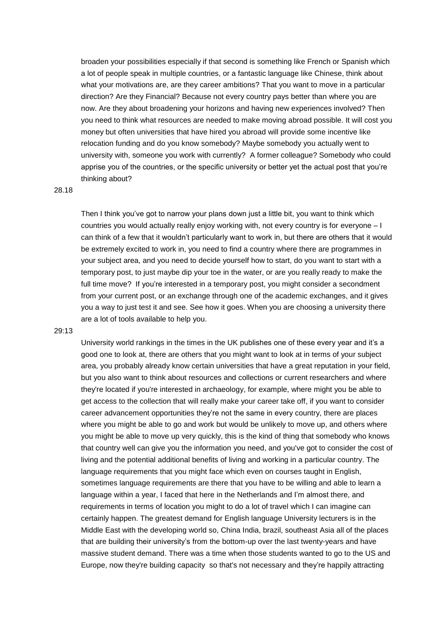broaden your possibilities especially if that second is something like French or Spanish which a lot of people speak in multiple countries, or a fantastic language like Chinese, think about what your motivations are, are they career ambitions? That you want to move in a particular direction? Are they Financial? Because not every country pays better than where you are now. Are they about broadening your horizons and having new experiences involved? Then you need to think what resources are needed to make moving abroad possible. It will cost you money but often universities that have hired you abroad will provide some incentive like relocation funding and do you know somebody? Maybe somebody you actually went to university with, someone you work with currently? A former colleague? Somebody who could apprise you of the countries, or the specific university or better yet the actual post that you're thinking about?

#### 28.18

Then I think you've got to narrow your plans down just a little bit, you want to think which countries you would actually really enjoy working with, not every country is for everyone – I can think of a few that it wouldn't particularly want to work in, but there are others that it would be extremely excited to work in, you need to find a country where there are programmes in your subject area, and you need to decide yourself how to start, do you want to start with a temporary post, to just maybe dip your toe in the water, or are you really ready to make the full time move? If you're interested in a temporary post, you might consider a secondment from your current post, or an exchange through one of the academic exchanges, and it gives you a way to just test it and see. See how it goes. When you are choosing a university there are a lot of tools available to help you.

#### 29:13

University world rankings in the times in the UK publishes one of these every year and it's a good one to look at, there are others that you might want to look at in terms of your subject area, you probably already know certain universities that have a great reputation in your field, but you also want to think about resources and collections or current researchers and where they're located if you're interested in archaeology, for example, where might you be able to get access to the collection that will really make your career take off, if you want to consider career advancement opportunities they're not the same in every country, there are places where you might be able to go and work but would be unlikely to move up, and others where you might be able to move up very quickly, this is the kind of thing that somebody who knows that country well can give you the information you need, and you've got to consider the cost of living and the potential additional benefits of living and working in a particular country. The language requirements that you might face which even on courses taught in English, sometimes language requirements are there that you have to be willing and able to learn a language within a year, I faced that here in the Netherlands and I'm almost there, and requirements in terms of location you might to do a lot of travel which I can imagine can certainly happen. The greatest demand for English language University lecturers is in the Middle East with the developing world so, China India, brazil, southeast Asia all of the places that are building their university's from the bottom-up over the last twenty-years and have massive student demand. There was a time when those students wanted to go to the US and Europe, now they're building capacity so that's not necessary and they're happily attracting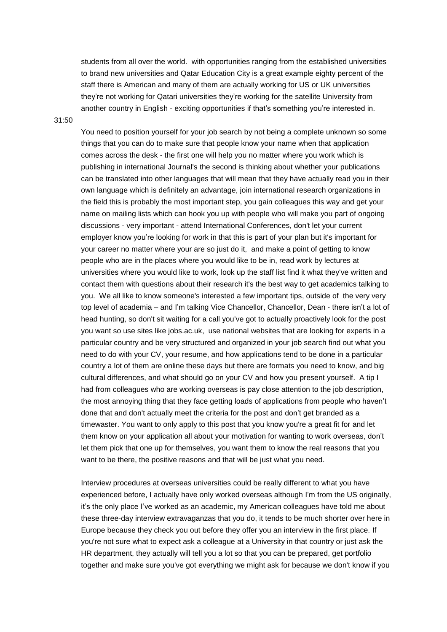students from all over the world. with opportunities ranging from the established universities to brand new universities and Qatar Education City is a great example eighty percent of the staff there is American and many of them are actually working for US or UK universities they're not working for Qatari universities they're working for the satellite University from another country in English - exciting opportunities if that's something you're interested in.

31:50

You need to position yourself for your job search by not being a complete unknown so some things that you can do to make sure that people know your name when that application comes across the desk - the first one will help you no matter where you work which is publishing in international Journal's the second is thinking about whether your publications can be translated into other languages that will mean that they have actually read you in their own language which is definitely an advantage, join international research organizations in the field this is probably the most important step, you gain colleagues this way and get your name on mailing lists which can hook you up with people who will make you part of ongoing discussions - very important - attend International Conferences, don't let your current employer know you're looking for work in that this is part of your plan but it's important for your career no matter where your are so just do it, and make a point of getting to know people who are in the places where you would like to be in, read work by lectures at universities where you would like to work, look up the staff list find it what they've written and contact them with questions about their research it's the best way to get academics talking to you. We all like to know someone's interested a few important tips, outside of the very very top level of academia – and I'm talking Vice Chancellor, Chancellor, Dean - there isn't a lot of head hunting, so don't sit waiting for a call you've got to actually proactively look for the post you want so use sites like jobs.ac.uk, use national websites that are looking for experts in a particular country and be very structured and organized in your job search find out what you need to do with your CV, your resume, and how applications tend to be done in a particular country a lot of them are online these days but there are formats you need to know, and big cultural differences, and what should go on your CV and how you present yourself. A tip I had from colleagues who are working overseas is pay close attention to the job description, the most annoying thing that they face getting loads of applications from people who haven't done that and don't actually meet the criteria for the post and don't get branded as a timewaster. You want to only apply to this post that you know you're a great fit for and let them know on your application all about your motivation for wanting to work overseas, don't let them pick that one up for themselves, you want them to know the real reasons that you want to be there, the positive reasons and that will be just what you need.

Interview procedures at overseas universities could be really different to what you have experienced before, I actually have only worked overseas although I'm from the US originally, it's the only place I've worked as an academic, my American colleagues have told me about these three-day interview extravaganzas that you do, it tends to be much shorter over here in Europe because they check you out before they offer you an interview in the first place. If you're not sure what to expect ask a colleague at a University in that country or just ask the HR department, they actually will tell you a lot so that you can be prepared, get portfolio together and make sure you've got everything we might ask for because we don't know if you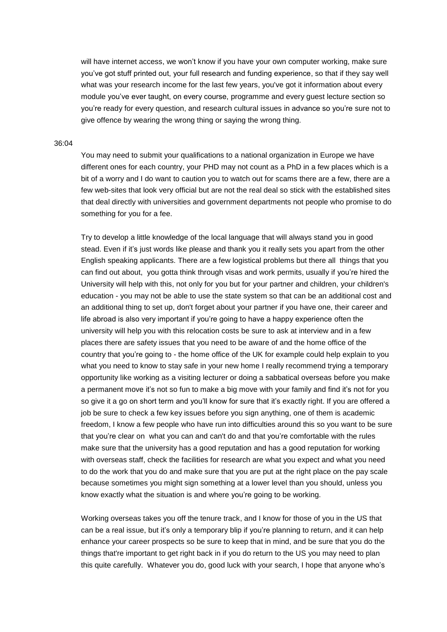will have internet access, we won't know if you have your own computer working, make sure you've got stuff printed out, your full research and funding experience, so that if they say well what was your research income for the last few years, you've got it information about every module you've ever taught, on every course, programme and every guest lecture section so you're ready for every question, and research cultural issues in advance so you're sure not to give offence by wearing the wrong thing or saying the wrong thing.

#### 36:04

You may need to submit your qualifications to a national organization in Europe we have different ones for each country, your PHD may not count as a PhD in a few places which is a bit of a worry and I do want to caution you to watch out for scams there are a few, there are a few web-sites that look very official but are not the real deal so stick with the established sites that deal directly with universities and government departments not people who promise to do something for you for a fee.

Try to develop a little knowledge of the local language that will always stand you in good stead. Even if it's just words like please and thank you it really sets you apart from the other English speaking applicants. There are a few logistical problems but there all things that you can find out about, you gotta think through visas and work permits, usually if you're hired the University will help with this, not only for you but for your partner and children, your children's education - you may not be able to use the state system so that can be an additional cost and an additional thing to set up, don't forget about your partner if you have one, their career and life abroad is also very important if you're going to have a happy experience often the university will help you with this relocation costs be sure to ask at interview and in a few places there are safety issues that you need to be aware of and the home office of the country that you're going to - the home office of the UK for example could help explain to you what you need to know to stay safe in your new home I really recommend trying a temporary opportunity like working as a visiting lecturer or doing a sabbatical overseas before you make a permanent move it's not so fun to make a big move with your family and find it's not for you so give it a go on short term and you'll know for sure that it's exactly right. If you are offered a job be sure to check a few key issues before you sign anything, one of them is academic freedom, I know a few people who have run into difficulties around this so you want to be sure that you're clear on what you can and can't do and that you're comfortable with the rules make sure that the university has a good reputation and has a good reputation for working with overseas staff, check the facilities for research are what you expect and what you need to do the work that you do and make sure that you are put at the right place on the pay scale because sometimes you might sign something at a lower level than you should, unless you know exactly what the situation is and where you're going to be working.

Working overseas takes you off the tenure track, and I know for those of you in the US that can be a real issue, but it's only a temporary blip if you're planning to return, and it can help enhance your career prospects so be sure to keep that in mind, and be sure that you do the things that're important to get right back in if you do return to the US you may need to plan this quite carefully. Whatever you do, good luck with your search, I hope that anyone who's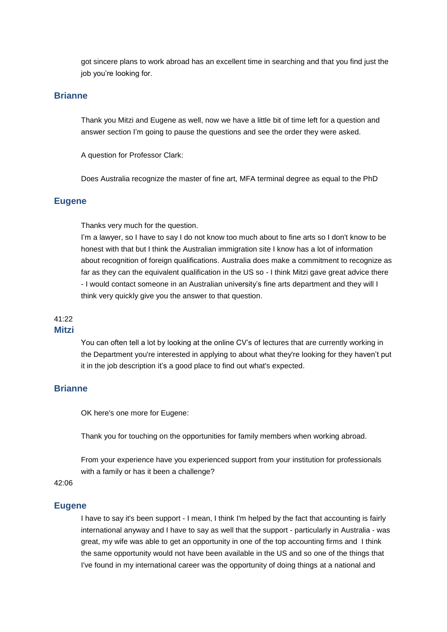got sincere plans to work abroad has an excellent time in searching and that you find just the job you're looking for.

## **Brianne**

Thank you Mitzi and Eugene as well, now we have a little bit of time left for a question and answer section I'm going to pause the questions and see the order they were asked.

A question for Professor Clark:

Does Australia recognize the master of fine art, MFA terminal degree as equal to the PhD

### **Eugene**

Thanks very much for the question.

I'm a lawyer, so I have to say I do not know too much about to fine arts so I don't know to be honest with that but I think the Australian immigration site I know has a lot of information about recognition of foreign qualifications. Australia does make a commitment to recognize as far as they can the equivalent qualification in the US so - I think Mitzi gave great advice there - I would contact someone in an Australian university's fine arts department and they will I think very quickly give you the answer to that question.

# 41:22

# **Mitzi**

You can often tell a lot by looking at the online CV's of lectures that are currently working in the Department you're interested in applying to about what they're looking for they haven't put it in the job description it's a good place to find out what's expected.

### **Brianne**

OK here's one more for Eugene:

Thank you for touching on the opportunities for family members when working abroad.

From your experience have you experienced support from your institution for professionals with a family or has it been a challenge?

# 42:06

#### **Eugene**

I have to say it's been support - I mean, I think I'm helped by the fact that accounting is fairly international anyway and I have to say as well that the support - particularly in Australia - was great, my wife was able to get an opportunity in one of the top accounting firms and I think the same opportunity would not have been available in the US and so one of the things that I've found in my international career was the opportunity of doing things at a national and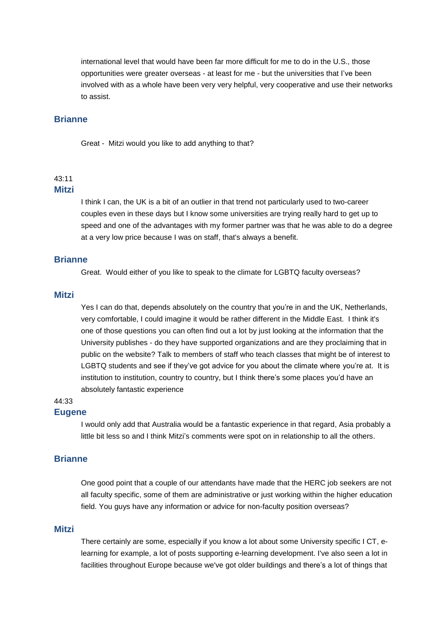international level that would have been far more difficult for me to do in the U.S., those opportunities were greater overseas - at least for me - but the universities that I've been involved with as a whole have been very very helpful, very cooperative and use their networks to assist.

## **Brianne**

Great - Mitzi would you like to add anything to that?

# $43:11$

## **Mitzi**

I think I can, the UK is a bit of an outlier in that trend not particularly used to two-career couples even in these days but I know some universities are trying really hard to get up to speed and one of the advantages with my former partner was that he was able to do a degree at a very low price because I was on staff, that's always a benefit.

### **Brianne**

Great. Would either of you like to speak to the climate for LGBTQ faculty overseas?

### **Mitzi**

Yes I can do that, depends absolutely on the country that you're in and the UK, Netherlands, very comfortable, I could imagine it would be rather different in the Middle East. I think it's one of those questions you can often find out a lot by just looking at the information that the University publishes - do they have supported organizations and are they proclaiming that in public on the website? Talk to members of staff who teach classes that might be of interest to LGBTQ students and see if they've got advice for you about the climate where you're at. It is institution to institution, country to country, but I think there's some places you'd have an absolutely fantastic experience

# 44:33

### **Eugene**

I would only add that Australia would be a fantastic experience in that regard, Asia probably a little bit less so and I think Mitzi's comments were spot on in relationship to all the others.

### **Brianne**

One good point that a couple of our attendants have made that the HERC job seekers are not all faculty specific, some of them are administrative or just working within the higher education field. You guys have any information or advice for non-faculty position overseas?

### **Mitzi**

There certainly are some, especially if you know a lot about some University specific I CT, elearning for example, a lot of posts supporting e-learning development. I've also seen a lot in facilities throughout Europe because we've got older buildings and there's a lot of things that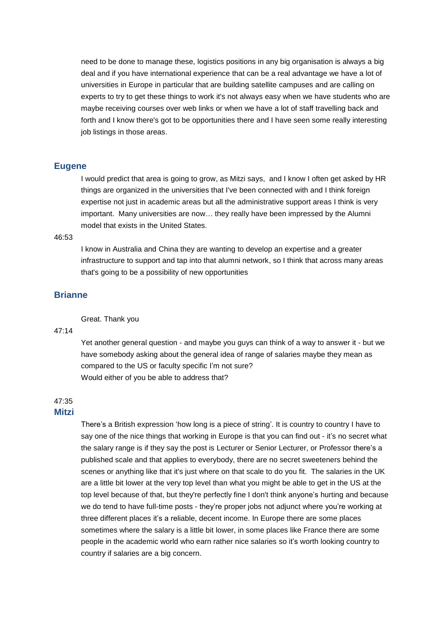need to be done to manage these, logistics positions in any big organisation is always a big deal and if you have international experience that can be a real advantage we have a lot of universities in Europe in particular that are building satellite campuses and are calling on experts to try to get these things to work it's not always easy when we have students who are maybe receiving courses over web links or when we have a lot of staff travelling back and forth and I know there's got to be opportunities there and I have seen some really interesting job listings in those areas.

### **Eugene**

I would predict that area is going to grow, as Mitzi says, and I know I often get asked by HR things are organized in the universities that I've been connected with and I think foreign expertise not just in academic areas but all the administrative support areas I think is very important. Many universities are now… they really have been impressed by the Alumni model that exists in the United States.

#### 46:53

I know in Australia and China they are wanting to develop an expertise and a greater infrastructure to support and tap into that alumni network, so I think that across many areas that's going to be a possibility of new opportunities

# **Brianne**

#### Great. Thank you

#### 47:14

Yet another general question - and maybe you guys can think of a way to answer it - but we have somebody asking about the general idea of range of salaries maybe they mean as compared to the US or faculty specific I'm not sure? Would either of you be able to address that?

# 47:35

# **Mitzi**

There's a British expression 'how long is a piece of string'. It is country to country I have to say one of the nice things that working in Europe is that you can find out - it's no secret what the salary range is if they say the post is Lecturer or Senior Lecturer, or Professor there's a published scale and that applies to everybody, there are no secret sweeteners behind the scenes or anything like that it's just where on that scale to do you fit. The salaries in the UK are a little bit lower at the very top level than what you might be able to get in the US at the top level because of that, but they're perfectly fine I don't think anyone's hurting and because we do tend to have full-time posts - they're proper jobs not adjunct where you're working at three different places it's a reliable, decent income. In Europe there are some places sometimes where the salary is a little bit lower, in some places like France there are some people in the academic world who earn rather nice salaries so it's worth looking country to country if salaries are a big concern.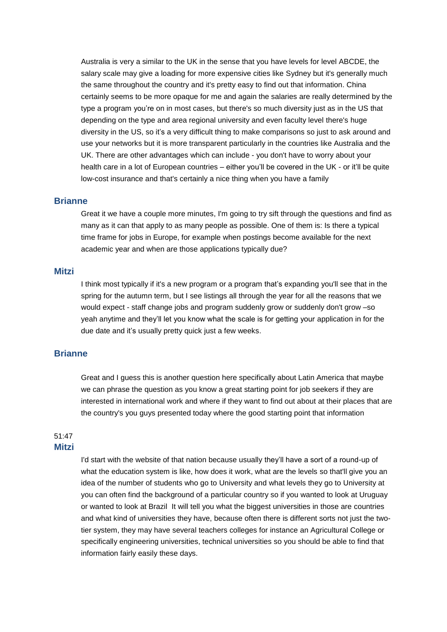Australia is very a similar to the UK in the sense that you have levels for level ABCDE, the salary scale may give a loading for more expensive cities like Sydney but it's generally much the same throughout the country and it's pretty easy to find out that information. China certainly seems to be more opaque for me and again the salaries are really determined by the type a program you're on in most cases, but there's so much diversity just as in the US that depending on the type and area regional university and even faculty level there's huge diversity in the US, so it's a very difficult thing to make comparisons so just to ask around and use your networks but it is more transparent particularly in the countries like Australia and the UK. There are other advantages which can include - you don't have to worry about your health care in a lot of European countries – either you'll be covered in the UK - or it'll be quite low-cost insurance and that's certainly a nice thing when you have a family

### **Brianne**

Great it we have a couple more minutes, I'm going to try sift through the questions and find as many as it can that apply to as many people as possible. One of them is: Is there a typical time frame for jobs in Europe, for example when postings become available for the next academic year and when are those applications typically due?

### **Mitzi**

I think most typically if it's a new program or a program that's expanding you'll see that in the spring for the autumn term, but I see listings all through the year for all the reasons that we would expect - staff change jobs and program suddenly grow or suddenly don't grow –so yeah anytime and they'll let you know what the scale is for getting your application in for the due date and it's usually pretty quick just a few weeks.

### **Brianne**

Great and I guess this is another question here specifically about Latin America that maybe we can phrase the question as you know a great starting point for job seekers if they are interested in international work and where if they want to find out about at their places that are the country's you guys presented today where the good starting point that information

## 51:47 **Mitzi**

I'd start with the website of that nation because usually they'll have a sort of a round-up of what the education system is like, how does it work, what are the levels so that'll give you an idea of the number of students who go to University and what levels they go to University at you can often find the background of a particular country so if you wanted to look at Uruguay or wanted to look at Brazil It will tell you what the biggest universities in those are countries and what kind of universities they have, because often there is different sorts not just the twotier system, they may have several teachers colleges for instance an Agricultural College or specifically engineering universities, technical universities so you should be able to find that information fairly easily these days.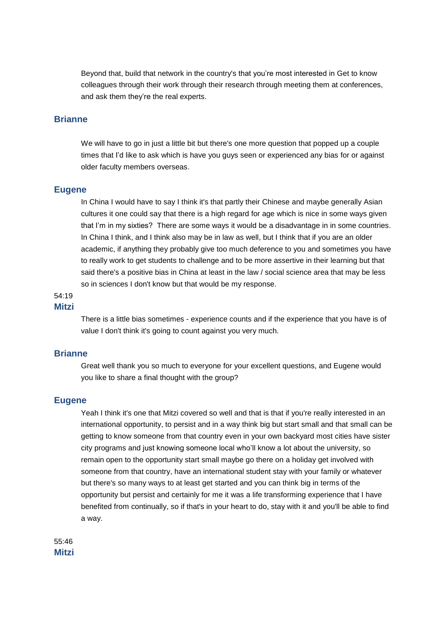Beyond that, build that network in the country's that you're most interested in Get to know colleagues through their work through their research through meeting them at conferences, and ask them they're the real experts.

### **Brianne**

We will have to go in just a little bit but there's one more question that popped up a couple times that I'd like to ask which is have you guys seen or experienced any bias for or against older faculty members overseas.

#### **Eugene**

In China I would have to say I think it's that partly their Chinese and maybe generally Asian cultures it one could say that there is a high regard for age which is nice in some ways given that I'm in my sixties? There are some ways it would be a disadvantage in in some countries. In China I think, and I think also may be in law as well, but I think that if you are an older academic, if anything they probably give too much deference to you and sometimes you have to really work to get students to challenge and to be more assertive in their learning but that said there's a positive bias in China at least in the law / social science area that may be less so in sciences I don't know but that would be my response.

#### 54:19 **Mitzi**

There is a little bias sometimes - experience counts and if the experience that you have is of value I don't think it's going to count against you very much.

#### **Brianne**

Great well thank you so much to everyone for your excellent questions, and Eugene would you like to share a final thought with the group?

#### **Eugene**

Yeah I think it's one that Mitzi covered so well and that is that if you're really interested in an international opportunity, to persist and in a way think big but start small and that small can be getting to know someone from that country even in your own backyard most cities have sister city programs and just knowing someone local who'll know a lot about the university, so remain open to the opportunity start small maybe go there on a holiday get involved with someone from that country, have an international student stay with your family or whatever but there's so many ways to at least get started and you can think big in terms of the opportunity but persist and certainly for me it was a life transforming experience that I have benefited from continually, so if that's in your heart to do, stay with it and you'll be able to find a way.

55:46 **Mitzi**